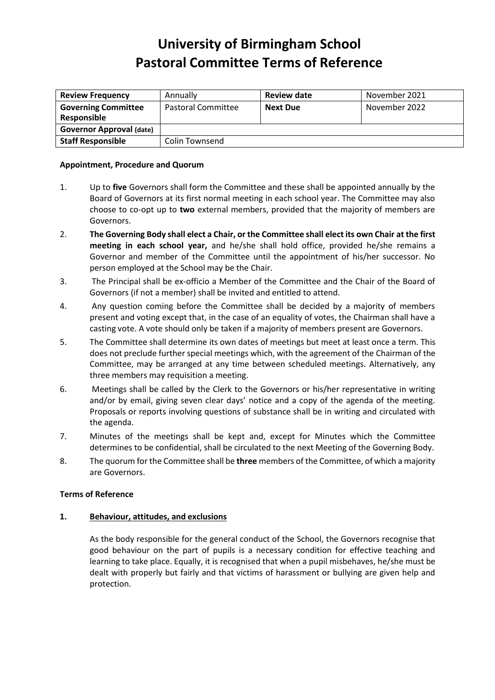# **University of Birmingham School Pastoral Committee Terms of Reference**

| <b>Review Frequency</b>         | Annually           | Review date     | November 2021 |
|---------------------------------|--------------------|-----------------|---------------|
| <b>Governing Committee</b>      | Pastoral Committee | <b>Next Due</b> | November 2022 |
| Responsible                     |                    |                 |               |
| <b>Governor Approval (date)</b> |                    |                 |               |
| <b>Staff Responsible</b>        | Colin Townsend     |                 |               |

#### **Appointment, Procedure and Quorum**

- 1. Up to **five** Governors shall form the Committee and these shall be appointed annually by the Board of Governors at its first normal meeting in each school year. The Committee may also choose to co-opt up to **two** external members, provided that the majority of members are Governors.
- 2. **The Governing Body shall elect a Chair, or the Committee shall elect its own Chair at the first meeting in each school year,** and he/she shall hold office, provided he/she remains a Governor and member of the Committee until the appointment of his/her successor. No person employed at the School may be the Chair.
- 3. The Principal shall be ex-officio a Member of the Committee and the Chair of the Board of Governors (if not a member) shall be invited and entitled to attend.
- 4. Any question coming before the Committee shall be decided by a majority of members present and voting except that, in the case of an equality of votes, the Chairman shall have a casting vote. A vote should only be taken if a majority of members present are Governors.
- 5. The Committee shall determine its own dates of meetings but meet at least once a term. This does not preclude further special meetings which, with the agreement of the Chairman of the Committee, may be arranged at any time between scheduled meetings. Alternatively, any three members may requisition a meeting.
- 6. Meetings shall be called by the Clerk to the Governors or his/her representative in writing and/or by email, giving seven clear days' notice and a copy of the agenda of the meeting. Proposals or reports involving questions of substance shall be in writing and circulated with the agenda.
- 7. Minutes of the meetings shall be kept and, except for Minutes which the Committee determines to be confidential, shall be circulated to the next Meeting of the Governing Body.
- 8. The quorum for the Committee shall be **three** members of the Committee, of which a majority are Governors.

#### **Terms of Reference**

## **1. Behaviour, attitudes, and exclusions**

As the body responsible for the general conduct of the School, the Governors recognise that good behaviour on the part of pupils is a necessary condition for effective teaching and learning to take place. Equally, it is recognised that when a pupil misbehaves, he/she must be dealt with properly but fairly and that victims of harassment or bullying are given help and protection.